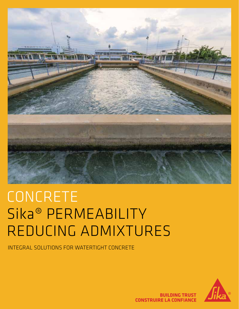

# CONCRETE Sika® PERMEABILITY REDUCING ADMIXTURES

INTEGRAL SOLUTIONS FOR WATERTIGHT CONCRETE



**BUILDING TRUST CONSTRUIRE LA CONFIANCE**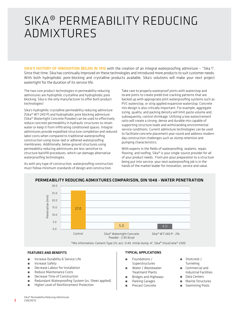# SIKA® PERMEABILITY REDUCING ADMIXTURES

SIKA'S HISTORY OF INNOVATION BEGAN IN 1910 with the creation of an integral waterproofing admixture – "Sika 1". Since that time, Sika has continually improved on these technologies and introduced more products to suit customer needs. With both hydrophobic pore-blocking and crystalline products available, Sika's solutions will make your next project watertight for the duration of its service life.

The two core product technologies in permeability reducing admixtures are hydrophilic crystalline and hydrophobic pore blocking. Sika is the only manufacturer to offer both product technologies!

Sika's hydrophilic crystalline permeability reducing admixture (Sika® WT-240 P) and hydrophobic pore blocking admixture (Sika® Watertight Concrete Powder) can be used to effectively reduce concrete permeability in hydraulic structures to retain water or keep it from infiltrating conditioned spaces. Integral admixtures provide expedited structure completion and reduced labor costs when compared to traditional waterproofing construction using loose-laid or adhered waterproofing membranes. Additionally, below ground structures using permeability reducing admixtures are less sensitive to structure backfill procedures, which can damage alternative waterproofing technologies.

As with any type of construction, waterproofing construction must follow minimum standards of design and construction.

Take care to properly waterproof joints with waterstop and locate joints to create predictive cracking patterns that are backed up with appropriate joint waterproofing systems such as PVC waterstop, or strip applied expansive waterstop. Concrete mix design is also critically important. For example, aggregate sizing, quality, and packing density will limit paste volume and, subsequently, control shrinkage. Utilizing a low water/cement ratio will create a strong, dense and durable mix capable of supporting structure loads and withstanding environmental service conditions. Current admixture technologies can be used to facilitate concrete placement year round and address modern day construction challenges such as slump retention and pumping characteristics.

With experts in the fields of waterproofing, sealants, repair, flooring, and roofing, Sika® is your single-source provider for all of your product needs. From pre-pour preparation to a structure being put into service, your next waterproofing job is in the hands of the market leader for innovation, service and value.



### PERMEABILITY REDUCING ADMIXTURES COMPARISON, DIN 1048 - WATER PENETRATION

\*Mix information: Cement Type I/II, w/c: 0.40. Initial slump: 4", Sika® ViscoCrete®-2100

#### FEATURES AND BENEFITS

- ́ Increase Durability & Service Life
- ́ Increase Safety
- ́ Decrease Labour for Installation
- ́ Reduce Maintenance Costs
- **E** Decrease Time of Construction
- **EXECUTER Redundant Waterproofing System (vs. Sheet applied)**
- **EXECUTE: Higher Level of Reinforcement Protection**

### TYPICAL APPLICATIONS

- **Foundations / Superstructures**
- **N** Water / Wastewater Treatment Plants
- **■** Bridges and Highways
- **E** Parking Garages
- Precast Concrete
- ́ Shotcrete / **Tunneling**
- ́ Commercial and Industrial Facilities
- ́ Data Centers
- ́ Marine Structures
- Swimming Pools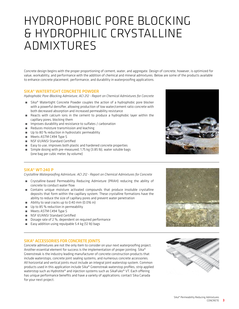# HYDROPHOBIC PORE BLOCKING & HYDROPHILIC CRYSTALLINE ADMIXTURES

Concrete design begins with the proper proportioning of cement, water, and aggregate. Design of concrete, however, is optimized for value, workability, and performance with the addition of chemical and mineral admixtures. Below are some of the products available to enhance concrete placement, performance, and durability in waterproofing applications.

### SIKA® WATERTIGHT CONCRETE POWDER

*Hydrophobic Pore-Blocking Admixture, ACI 212 - Report on Chemical Admixtures for Concrete*

- **EXECO** Watertight Concrete Powder couples the action of a hydrophobic pore blocker with a powerful densifier, allowing production of low water/cement ratio concrete with both decreased absorption and increased permeability resistance
- ́ Reacts with calcium ions in the cement to produce a hydrophobic layer within the capillary pores, blocking them
- **EXECUTE:** Improves durability and resistance to sulfates / carbonation
- **EXECUTE:** Reduces moisture transmission and leaching
- Up to 80 % reduction in hydrostatic permeability
- Meets ASTM C494 Type S
- NSF 61/ANSI Standard Certified
- **Easy to use, improves both plastic and hardened concrete properties**
- Simple dosing with pre-measured, 1.75 kg (3.85 lb), water soluble bags (one bag per cubic meter, by volume)



#### SIKA® WT-240 P

*Crystalline Waterproofing Admixture, ACI 212 - Report on Chemical Admixtures for Concrete*

- ́ Crystalline-based Permeability Reducing Admixture (PRAH) reducing the ability of concrete to conduct water flow
- **■** Contains unique moisture activated compounds that produce insoluble crystalline deposits that form within the capillary system. These crystalline formations have the ability to reduce the size of capillary pores and prevent water penetration
- **EXECUTE:** Ability to seal cracks up to 0.40 mm (0.016 in)
- Up to 85 % reduction in permeability
- Meets ASTM C494 Type S
- **NSF 61/ANSI Standard Certified**
- Dosage rate of 2 %, dependent on required performance
- ́ Easy addition using repulpable 5.4 kg (12 lb) bags

### SIKA® ACCESSORIES FOR CONCRETE JOINTS

Concrete admixtures are not the only item to consider on your next waterproofing project. Another essential element for success is the implementation of proper jointing. Sika® Greenstreak is the industry leading manufacturer of concrete construction products that include waterstops, concrete joint sealing systems, and numerous concrete accessories. All horizontal and vertical joints must include an integral joint waterstop system. Common products used in this application include Sika® Greenstreak waterstop profiles, strip applied waterstop such as Hydrotite® and injection systems such as SikaFuko® VT. Each offering has unique performance benefits and have a variety of applications; contact Sika Canada for your next project.